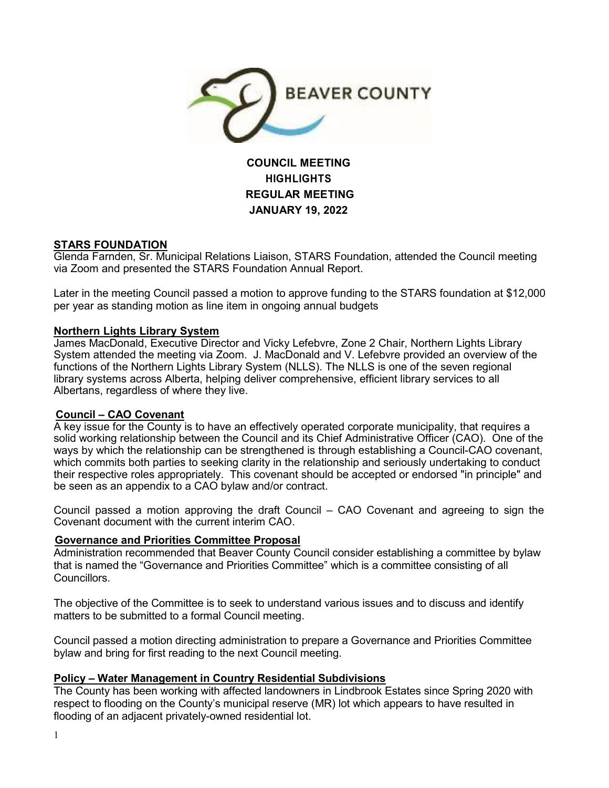

# **COUNCIL MEETING HIGHLIGHTS REGULAR MEETING JANUARY 19, 2022**

# **STARS FOUNDATION**

Glenda Farnden, Sr. Municipal Relations Liaison, STARS Foundation, attended the Council meeting via Zoom and presented the STARS Foundation Annual Report.

Later in the meeting Council passed a motion to approve funding to the STARS foundation at \$12,000 per year as standing motion as line item in ongoing annual budgets

### **Northern Lights Library System**

James MacDonald, Executive Director and Vicky Lefebvre, Zone 2 Chair, Northern Lights Library System attended the meeting via Zoom. J. MacDonald and V. Lefebvre provided an overview of the functions of the Northern Lights Library System (NLLS). The NLLS is one of the seven regional library systems across Alberta, helping deliver comprehensive, efficient library services to all Albertans, regardless of where they live.

# **Council – CAO Covenant**

A key issue for the County is to have an effectively operated corporate municipality, that requires a solid working relationship between the Council and its Chief Administrative Officer (CAO). One of the ways by which the relationship can be strengthened is through establishing a Council-CAO covenant, which commits both parties to seeking clarity in the relationship and seriously undertaking to conduct their respective roles appropriately. This covenant should be accepted or endorsed "in principle" and be seen as an appendix to a CAO bylaw and/or contract.

Council passed a motion approving the draft Council – CAO Covenant and agreeing to sign the Covenant document with the current interim CAO.

# **Governance and Priorities Committee Proposal**

Administration recommended that Beaver County Council consider establishing a committee by bylaw that is named the "Governance and Priorities Committee" which is a committee consisting of all **Councillors** 

The objective of the Committee is to seek to understand various issues and to discuss and identify matters to be submitted to a formal Council meeting.

Council passed a motion directing administration to prepare a Governance and Priorities Committee bylaw and bring for first reading to the next Council meeting.

# **Policy – Water Management in Country Residential Subdivisions**

The County has been working with affected landowners in Lindbrook Estates since Spring 2020 with respect to flooding on the County's municipal reserve (MR) lot which appears to have resulted in flooding of an adjacent privately-owned residential lot.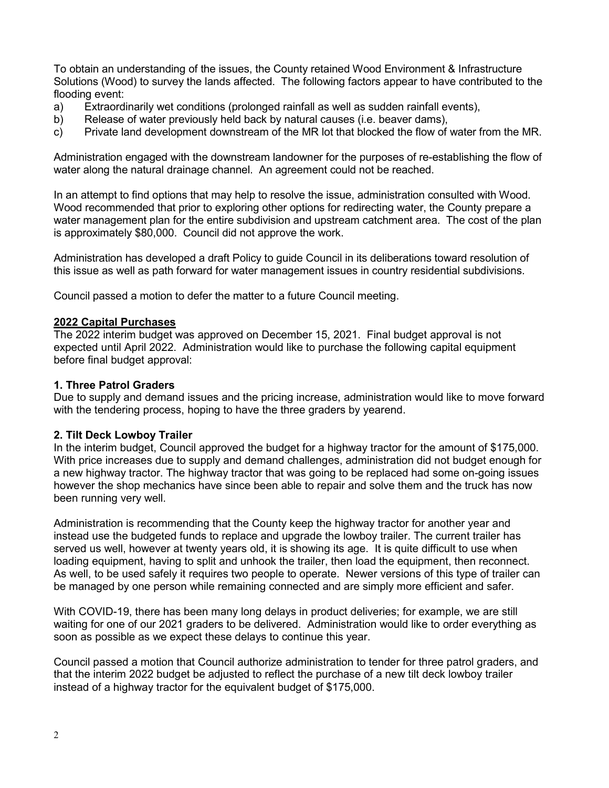To obtain an understanding of the issues, the County retained Wood Environment & Infrastructure Solutions (Wood) to survey the lands affected. The following factors appear to have contributed to the flooding event:

- a) Extraordinarily wet conditions (prolonged rainfall as well as sudden rainfall events),
- b) Release of water previously held back by natural causes (i.e. beaver dams),
- c) Private land development downstream of the MR lot that blocked the flow of water from the MR.

Administration engaged with the downstream landowner for the purposes of re-establishing the flow of water along the natural drainage channel. An agreement could not be reached.

In an attempt to find options that may help to resolve the issue, administration consulted with Wood. Wood recommended that prior to exploring other options for redirecting water, the County prepare a water management plan for the entire subdivision and upstream catchment area. The cost of the plan is approximately \$80,000. Council did not approve the work.

Administration has developed a draft Policy to guide Council in its deliberations toward resolution of this issue as well as path forward for water management issues in country residential subdivisions.

Council passed a motion to defer the matter to a future Council meeting.

#### **2022 Capital Purchases**

The 2022 interim budget was approved on December 15, 2021. Final budget approval is not expected until April 2022. Administration would like to purchase the following capital equipment before final budget approval:

## **1. Three Patrol Graders**

Due to supply and demand issues and the pricing increase, administration would like to move forward with the tendering process, hoping to have the three graders by yearend.

#### **2. Tilt Deck Lowboy Trailer**

In the interim budget, Council approved the budget for a highway tractor for the amount of \$175,000. With price increases due to supply and demand challenges, administration did not budget enough for a new highway tractor. The highway tractor that was going to be replaced had some on-going issues however the shop mechanics have since been able to repair and solve them and the truck has now been running very well.

Administration is recommending that the County keep the highway tractor for another year and instead use the budgeted funds to replace and upgrade the lowboy trailer. The current trailer has served us well, however at twenty years old, it is showing its age. It is quite difficult to use when loading equipment, having to split and unhook the trailer, then load the equipment, then reconnect. As well, to be used safely it requires two people to operate. Newer versions of this type of trailer can be managed by one person while remaining connected and are simply more efficient and safer.

With COVID-19, there has been many long delays in product deliveries; for example, we are still waiting for one of our 2021 graders to be delivered. Administration would like to order everything as soon as possible as we expect these delays to continue this year.

Council passed a motion that Council authorize administration to tender for three patrol graders, and that the interim 2022 budget be adjusted to reflect the purchase of a new tilt deck lowboy trailer instead of a highway tractor for the equivalent budget of \$175,000.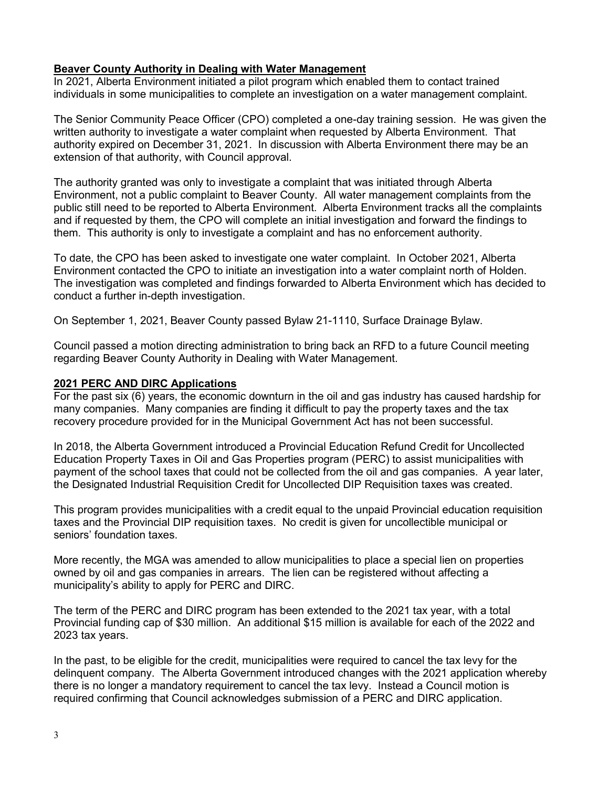# **Beaver County Authority in Dealing with Water Management**

In 2021, Alberta Environment initiated a pilot program which enabled them to contact trained individuals in some municipalities to complete an investigation on a water management complaint.

The Senior Community Peace Officer (CPO) completed a one-day training session. He was given the written authority to investigate a water complaint when requested by Alberta Environment. That authority expired on December 31, 2021. In discussion with Alberta Environment there may be an extension of that authority, with Council approval.

The authority granted was only to investigate a complaint that was initiated through Alberta Environment, not a public complaint to Beaver County. All water management complaints from the public still need to be reported to Alberta Environment. Alberta Environment tracks all the complaints and if requested by them, the CPO will complete an initial investigation and forward the findings to them. This authority is only to investigate a complaint and has no enforcement authority.

To date, the CPO has been asked to investigate one water complaint. In October 2021, Alberta Environment contacted the CPO to initiate an investigation into a water complaint north of Holden. The investigation was completed and findings forwarded to Alberta Environment which has decided to conduct a further in-depth investigation.

On September 1, 2021, Beaver County passed Bylaw 21-1110, Surface Drainage Bylaw.

Council passed a motion directing administration to bring back an RFD to a future Council meeting regarding Beaver County Authority in Dealing with Water Management.

# **2021 PERC AND DIRC Applications**

For the past six (6) years, the economic downturn in the oil and gas industry has caused hardship for many companies. Many companies are finding it difficult to pay the property taxes and the tax recovery procedure provided for in the Municipal Government Act has not been successful.

In 2018, the Alberta Government introduced a Provincial Education Refund Credit for Uncollected Education Property Taxes in Oil and Gas Properties program (PERC) to assist municipalities with payment of the school taxes that could not be collected from the oil and gas companies. A year later, the Designated Industrial Requisition Credit for Uncollected DIP Requisition taxes was created.

This program provides municipalities with a credit equal to the unpaid Provincial education requisition taxes and the Provincial DIP requisition taxes. No credit is given for uncollectible municipal or seniors' foundation taxes.

More recently, the MGA was amended to allow municipalities to place a special lien on properties owned by oil and gas companies in arrears. The lien can be registered without affecting a municipality's ability to apply for PERC and DIRC.

The term of the PERC and DIRC program has been extended to the 2021 tax year, with a total Provincial funding cap of \$30 million. An additional \$15 million is available for each of the 2022 and 2023 tax years.

In the past, to be eligible for the credit, municipalities were required to cancel the tax levy for the delinquent company. The Alberta Government introduced changes with the 2021 application whereby there is no longer a mandatory requirement to cancel the tax levy. Instead a Council motion is required confirming that Council acknowledges submission of a PERC and DIRC application.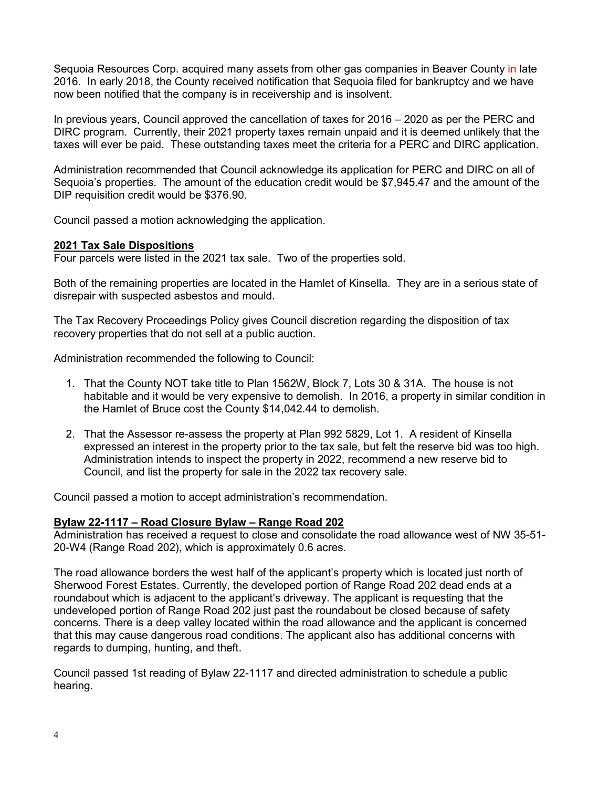Sequoia Resources Corp. acquired many assets from other gas companies in Beaver County in late 2016. In early 2018, the County received notification that Sequoia filed for bankruptcy and we have now been notified that the company is in receivership and is insolvent.

In previous years, Council approved the cancellation of taxes for 2016 – 2020 as per the PERC and DIRC program. Currently, their 2021 property taxes remain unpaid and it is deemed unlikely that the taxes will ever be paid. These outstanding taxes meet the criteria for a PERC and DIRC application.

Administration recommended that Council acknowledge its application for PERC and DIRC on all of Sequoia's properties. The amount of the education credit would be \$7,945.47 and the amount of the DIP requisition credit would be \$376.90.

Council passed a motion acknowledging the application.

### **2021 Tax Sale Dispositions**

Four parcels were listed in the 2021 tax sale. Two of the properties sold.

Both of the remaining properties are located in the Hamlet of Kinsella. They are in a serious state of disrepair with suspected asbestos and mould.

The Tax Recovery Proceedings Policy gives Council discretion regarding the disposition of tax recovery properties that do not sell at a public auction.

Administration recommended the following to Council:

- 1. That the County NOT take title to Plan 1562W, Block 7, Lots 30 & 31A. The house is not habitable and it would be very expensive to demolish. In 2016, a property in similar condition in the Hamlet of Bruce cost the County \$14,042.44 to demolish.
- 2. That the Assessor re-assess the property at Plan 992 5829, Lot 1. A resident of Kinsella expressed an interest in the property prior to the tax sale, but felt the reserve bid was too high. Administration intends to inspect the property in 2022, recommend a new reserve bid to Council, and list the property for sale in the 2022 tax recovery sale.

Council passed a motion to accept administration's recommendation.

#### **Bylaw 22-1117 – Road Closure Bylaw – Range Road 202**

Administration has received a request to close and consolidate the road allowance west of NW 35-51- 20-W4 (Range Road 202), which is approximately 0.6 acres.

The road allowance borders the west half of the applicant's property which is located just north of Sherwood Forest Estates. Currently, the developed portion of Range Road 202 dead ends at a roundabout which is adjacent to the applicant's driveway. The applicant is requesting that the undeveloped portion of Range Road 202 just past the roundabout be closed because of safety concerns. There is a deep valley located within the road allowance and the applicant is concerned that this may cause dangerous road conditions. The applicant also has additional concerns with regards to dumping, hunting, and theft.

Council passed 1st reading of Bylaw 22-1117 and directed administration to schedule a public hearing.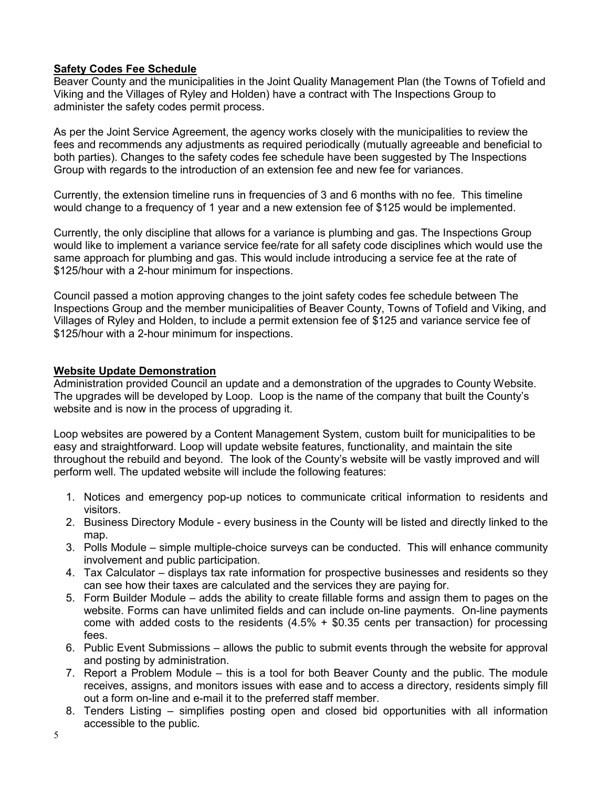# **Safety Codes Fee Schedule**

Beaver County and the municipalities in the Joint Quality Management Plan (the Towns of Tofield and Viking and the Villages of Ryley and Holden) have a contract with The Inspections Group to administer the safety codes permit process.

As per the Joint Service Agreement, the agency works closely with the municipalities to review the fees and recommends any adjustments as required periodically (mutually agreeable and beneficial to both parties). Changes to the safety codes fee schedule have been suggested by The Inspections Group with regards to the introduction of an extension fee and new fee for variances.

Currently, the extension timeline runs in frequencies of 3 and 6 months with no fee. This timeline would change to a frequency of 1 year and a new extension fee of \$125 would be implemented.

Currently, the only discipline that allows for a variance is plumbing and gas. The Inspections Group would like to implement a variance service fee/rate for all safety code disciplines which would use the same approach for plumbing and gas. This would include introducing a service fee at the rate of \$125/hour with a 2-hour minimum for inspections.

Council passed a motion approving changes to the joint safety codes fee schedule between The Inspections Group and the member municipalities of Beaver County, Towns of Tofield and Viking, and Villages of Ryley and Holden, to include a permit extension fee of \$125 and variance service fee of \$125/hour with a 2-hour minimum for inspections.

# **Website Update Demonstration**

Administration provided Council an update and a demonstration of the upgrades to County Website. The upgrades will be developed by Loop. Loop is the name of the company that built the County's website and is now in the process of upgrading it.

Loop websites are powered by a Content Management System, custom built for municipalities to be easy and straightforward. Loop will update website features, functionality, and maintain the site throughout the rebuild and beyond. The look of the County's website will be vastly improved and will perform well. The updated website will include the following features:

- 1. Notices and emergency pop-up notices to communicate critical information to residents and visitors.
- 2. Business Directory Module every business in the County will be listed and directly linked to the map.
- 3. Polls Module simple multiple-choice surveys can be conducted. This will enhance community involvement and public participation.
- 4. Tax Calculator displays tax rate information for prospective businesses and residents so they can see how their taxes are calculated and the services they are paying for.
- 5. Form Builder Module adds the ability to create fillable forms and assign them to pages on the website. Forms can have unlimited fields and can include on-line payments. On-line payments come with added costs to the residents  $(4.5% + $0.35$  cents per transaction) for processing fees.
- 6. Public Event Submissions allows the public to submit events through the website for approval and posting by administration.
- 7. Report a Problem Module this is a tool for both Beaver County and the public. The module receives, assigns, and monitors issues with ease and to access a directory, residents simply fill out a form on-line and e-mail it to the preferred staff member.
- 8. Tenders Listing simplifies posting open and closed bid opportunities with all information accessible to the public.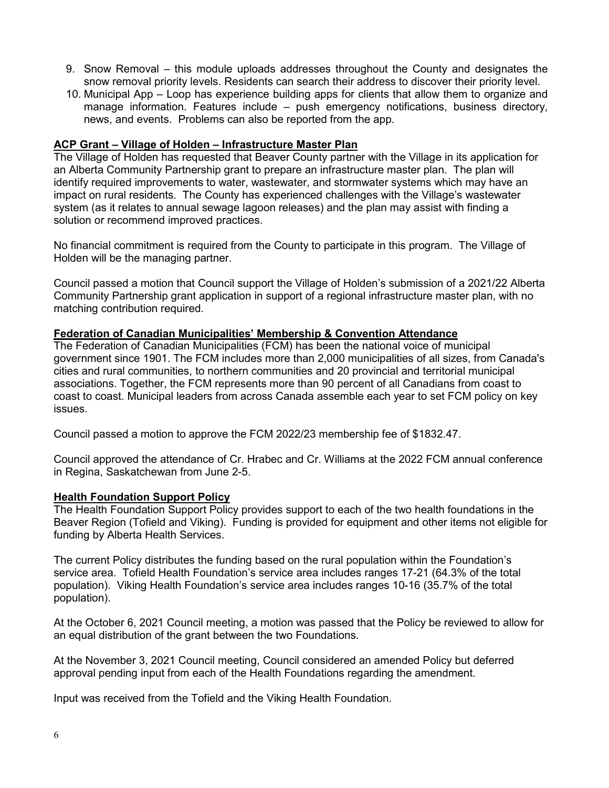- 9. Snow Removal this module uploads addresses throughout the County and designates the snow removal priority levels. Residents can search their address to discover their priority level.
- 10. Municipal App Loop has experience building apps for clients that allow them to organize and manage information. Features include – push emergency notifications, business directory, news, and events. Problems can also be reported from the app.

### **ACP Grant – Village of Holden – Infrastructure Master Plan**

The Village of Holden has requested that Beaver County partner with the Village in its application for an Alberta Community Partnership grant to prepare an infrastructure master plan. The plan will identify required improvements to water, wastewater, and stormwater systems which may have an impact on rural residents. The County has experienced challenges with the Village's wastewater system (as it relates to annual sewage lagoon releases) and the plan may assist with finding a solution or recommend improved practices.

No financial commitment is required from the County to participate in this program. The Village of Holden will be the managing partner.

Council passed a motion that Council support the Village of Holden's submission of a 2021/22 Alberta Community Partnership grant application in support of a regional infrastructure master plan, with no matching contribution required.

### **Federation of Canadian Municipalities' Membership & Convention Attendance**

The Federation of Canadian Municipalities (FCM) has been the national voice of municipal government since 1901. The FCM includes more than 2,000 municipalities of all sizes, from Canada's cities and rural communities, to northern communities and 20 provincial and territorial municipal associations. Together, the FCM represents more than 90 percent of all Canadians from coast to coast to coast. Municipal leaders from across Canada assemble each year to set FCM policy on key issues.

Council passed a motion to approve the FCM 2022/23 membership fee of \$1832.47.

Council approved the attendance of Cr. Hrabec and Cr. Williams at the 2022 FCM annual conference in Regina, Saskatchewan from June 2-5.

#### **Health Foundation Support Policy**

The Health Foundation Support Policy provides support to each of the two health foundations in the Beaver Region (Tofield and Viking). Funding is provided for equipment and other items not eligible for funding by Alberta Health Services.

The current Policy distributes the funding based on the rural population within the Foundation's service area. Tofield Health Foundation's service area includes ranges 17-21 (64.3% of the total population). Viking Health Foundation's service area includes ranges 10-16 (35.7% of the total population).

At the October 6, 2021 Council meeting, a motion was passed that the Policy be reviewed to allow for an equal distribution of the grant between the two Foundations.

At the November 3, 2021 Council meeting, Council considered an amended Policy but deferred approval pending input from each of the Health Foundations regarding the amendment.

Input was received from the Tofield and the Viking Health Foundation.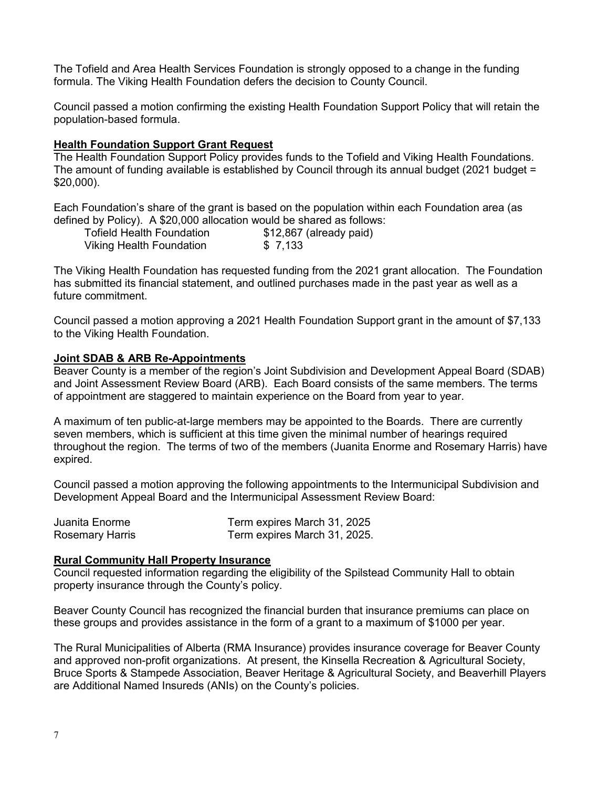The Tofield and Area Health Services Foundation is strongly opposed to a change in the funding formula. The Viking Health Foundation defers the decision to County Council.

Council passed a motion confirming the existing Health Foundation Support Policy that will retain the population-based formula.

## **Health Foundation Support Grant Request**

The Health Foundation Support Policy provides funds to the Tofield and Viking Health Foundations. The amount of funding available is established by Council through its annual budget (2021 budget = \$20,000).

Each Foundation's share of the grant is based on the population within each Foundation area (as defined by Policy). A \$20,000 allocation would be shared as follows:

| <b>Tofield Health Foundation</b> | \$12,867 (already paid) |
|----------------------------------|-------------------------|
| <b>Viking Health Foundation</b>  | \$ 7,133                |

The Viking Health Foundation has requested funding from the 2021 grant allocation. The Foundation has submitted its financial statement, and outlined purchases made in the past year as well as a future commitment.

Council passed a motion approving a 2021 Health Foundation Support grant in the amount of \$7,133 to the Viking Health Foundation.

### **Joint SDAB & ARB Re-Appointments**

Beaver County is a member of the region's Joint Subdivision and Development Appeal Board (SDAB) and Joint Assessment Review Board (ARB). Each Board consists of the same members. The terms of appointment are staggered to maintain experience on the Board from year to year.

A maximum of ten public-at-large members may be appointed to the Boards. There are currently seven members, which is sufficient at this time given the minimal number of hearings required throughout the region. The terms of two of the members (Juanita Enorme and Rosemary Harris) have expired.

Council passed a motion approving the following appointments to the Intermunicipal Subdivision and Development Appeal Board and the Intermunicipal Assessment Review Board:

| Juanita Enorme         | Term expires March 31, 2025  |
|------------------------|------------------------------|
| <b>Rosemary Harris</b> | Term expires March 31, 2025. |

#### **Rural Community Hall Property Insurance**

Council requested information regarding the eligibility of the Spilstead Community Hall to obtain property insurance through the County's policy.

Beaver County Council has recognized the financial burden that insurance premiums can place on these groups and provides assistance in the form of a grant to a maximum of \$1000 per year.

The Rural Municipalities of Alberta (RMA Insurance) provides insurance coverage for Beaver County and approved non-profit organizations. At present, the Kinsella Recreation & Agricultural Society, Bruce Sports & Stampede Association, Beaver Heritage & Agricultural Society, and Beaverhill Players are Additional Named Insureds (ANIs) on the County's policies.